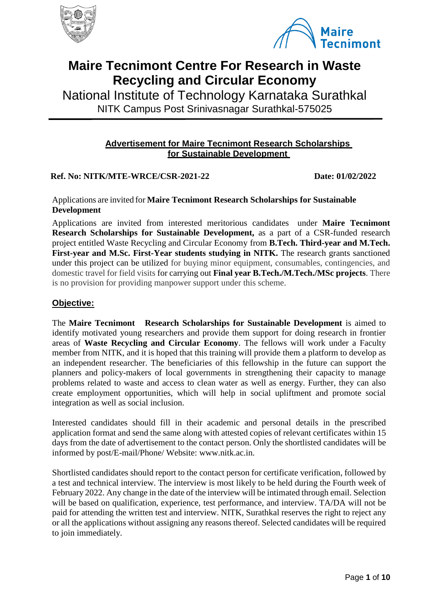



# **Maire Tecnimont Centre For Research in Waste Recycling and Circular Economy**

National Institute of Technology Karnataka Surathkal NITK Campus Post Srinivasnagar Surathkal-575025

## **Advertisement for Maire Tecnimont Research Scholarships for Sustainable Development**

**Ref. No: NITK/MTE-WRCE/CSR-2021-22 Date: 01/02/2022**

Applications are invited for **Maire Tecnimont Research Scholarships for Sustainable Development**

Applications are invited from interested meritorious candidates under **Maire Tecnimont Research Scholarships for Sustainable Development,** as a part of a CSR-funded research project entitled Waste Recycling and Circular Economy from **B.Tech. Third-year and M.Tech. First-year and M.Sc. First-Year students studying in NITK.** The research grants sanctioned under this project can be utilized for buying minor equipment, consumables, contingencies, and domestic travel for field visits for carrying out **Final year B.Tech./M.Tech./MSc projects**. There is no provision for providing manpower support under this scheme.

## **Objective:**

The **Maire Tecnimont Research Scholarships for Sustainable Development** is aimed to identify motivated young researchers and provide them support for doing research in frontier areas of **Waste Recycling and Circular Economy**. The fellows will work under a Faculty member from NITK, and it is hoped that this training will provide them a platform to develop as an independent researcher. The beneficiaries of this fellowship in the future can support the planners and policy-makers of local governments in strengthening their capacity to manage problems related to waste and access to clean water as well as energy. Further, they can also create employment opportunities, which will help in social upliftment and promote social integration as well as social inclusion.

Interested candidates should fill in their academic and personal details in the prescribed application format and send the same along with attested copies of relevant certificates within 15 days from the date of advertisement to the contact person. Only the shortlisted candidates will be informed by post/E-mail/Phone/ Website: www.nitk.ac.in.

Shortlisted candidates should report to the contact person for certificate verification, followed by a test and technical interview. The interview is most likely to be held during the Fourth week of February 2022. Any change in the date of the interview will be intimated through email. Selection will be based on qualification, experience, test performance, and interview. TA/DA will not be paid for attending the written test and interview. NITK, Surathkal reserves the right to reject any or all the applications without assigning any reasons thereof. Selected candidates will be required to join immediately.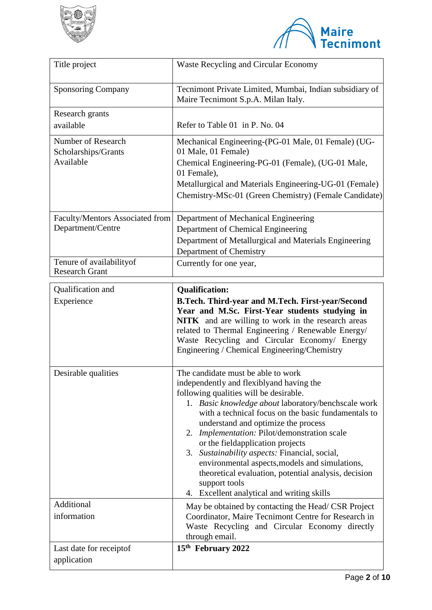



| Title project                                      | Waste Recycling and Circular Economy                                                                                                                                                                                                                       |
|----------------------------------------------------|------------------------------------------------------------------------------------------------------------------------------------------------------------------------------------------------------------------------------------------------------------|
| <b>Sponsoring Company</b>                          | Tecnimont Private Limited, Mumbai, Indian subsidiary of<br>Maire Tecnimont S.p.A. Milan Italy.                                                                                                                                                             |
| Research grants                                    |                                                                                                                                                                                                                                                            |
| available                                          | Refer to Table 01 in P. No. 04                                                                                                                                                                                                                             |
| Number of Research                                 | Mechanical Engineering-(PG-01 Male, 01 Female) (UG-                                                                                                                                                                                                        |
| Scholarships/Grants<br>Available                   | 01 Male, 01 Female)                                                                                                                                                                                                                                        |
|                                                    | Chemical Engineering-PG-01 (Female), (UG-01 Male,<br>01 Female),                                                                                                                                                                                           |
|                                                    | Metallurgical and Materials Engineering-UG-01 (Female)                                                                                                                                                                                                     |
|                                                    | Chemistry-MSc-01 (Green Chemistry) (Female Candidate)                                                                                                                                                                                                      |
| Faculty/Mentors Associated from                    | Department of Mechanical Engineering                                                                                                                                                                                                                       |
| Department/Centre                                  | Department of Chemical Engineering                                                                                                                                                                                                                         |
|                                                    | Department of Metallurgical and Materials Engineering<br>Department of Chemistry                                                                                                                                                                           |
| Tenure of availability of<br><b>Research Grant</b> | Currently for one year,                                                                                                                                                                                                                                    |
| Qualification and                                  | <b>Qualification:</b>                                                                                                                                                                                                                                      |
| Experience                                         | B.Tech. Third-year and M.Tech. First-year/Second                                                                                                                                                                                                           |
|                                                    | Year and M.Sc. First-Year students studying in<br>NITK and are willing to work in the research areas<br>related to Thermal Engineering / Renewable Energy/<br>Waste Recycling and Circular Economy/ Energy<br>Engineering / Chemical Engineering/Chemistry |
|                                                    |                                                                                                                                                                                                                                                            |
| Desirable qualities                                | The candidate must be able to work<br>independently and flexibly and having the<br>following qualities will be desirable.                                                                                                                                  |
|                                                    | 1. Basic knowledge about laboratory/benchscale work<br>with a technical focus on the basic fundamentals to<br>understand and optimize the process                                                                                                          |
|                                                    | 2. <i>Implementation:</i> Pilot/demonstration scale                                                                                                                                                                                                        |
|                                                    | or the fieldapplication projects<br>3. Sustainability aspects: Financial, social,                                                                                                                                                                          |
|                                                    | environmental aspects, models and simulations,                                                                                                                                                                                                             |
|                                                    | theoretical evaluation, potential analysis, decision                                                                                                                                                                                                       |
|                                                    | support tools<br>4. Excellent analytical and writing skills                                                                                                                                                                                                |
| Additional                                         | May be obtained by contacting the Head/ CSR Project                                                                                                                                                                                                        |
| information                                        | Coordinator, Maire Tecnimont Centre for Research in<br>Waste Recycling and Circular Economy directly<br>through email.                                                                                                                                     |
| Last date for receiptof                            | 15 <sup>th</sup> February 2022                                                                                                                                                                                                                             |
| application                                        |                                                                                                                                                                                                                                                            |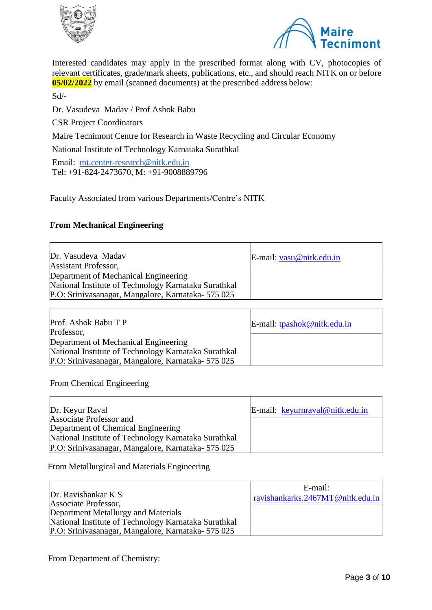



Interested candidates may apply in the prescribed format along with CV, photocopies of relevant certificates, grade/mark sheets, publications, etc., and should reach NITK on or before **05/02/2022** by email (scanned documents) at the prescribed address below:

Sd/-

Dr. Vasudeva Madav / Prof Ashok Babu

CSR Project Coordinators

Maire Tecnimont Centre for Research in Waste Recycling and Circular Economy

National Institute of Technology Karnataka Surathkal

Email: [mt.center-research@nitk.edu.in](mailto:mt.center-research@nitk.edu.in) Tel: +91-824-2473670, M: +91-9008889796

Faculty Associated from various Departments/Centre's NITK

### **From Mechanical Engineering**

| Dr. Vasudeva Madav                                   | E-mail: vasu@nitk.edu.in |
|------------------------------------------------------|--------------------------|
| <b>Assistant Professor,</b>                          |                          |
| Department of Mechanical Engineering                 |                          |
| National Institute of Technology Karnataka Surathkal |                          |
| P.O: Srinivasanagar, Mangalore, Karnataka-575025     |                          |

| Prof. Ashok Babu T P<br>Professor,                   | E-mail: tpashok@nitk.edu.in |
|------------------------------------------------------|-----------------------------|
| Department of Mechanical Engineering                 |                             |
| National Institute of Technology Karnataka Surathkal |                             |
| P.O: Srinivasanagar, Mangalore, Karnataka-575 025    |                             |

From Chemical Engineering

| Dr. Keyur Raval                                      | E-mail: keyurnraval@nitk.edu.in |
|------------------------------------------------------|---------------------------------|
| <b>Associate Professor and</b>                       |                                 |
| Department of Chemical Engineering                   |                                 |
| National Institute of Technology Karnataka Surathkal |                                 |
| P.O: Srinivasanagar, Mangalore, Karnataka-575 025    |                                 |

From Metallurgical and Materials Engineering

| Dr. Ravishankar K S<br>Associate Professor,                                                                | E-mail:<br>ravishankarks.2467MT@nitk.edu.in |
|------------------------------------------------------------------------------------------------------------|---------------------------------------------|
| Department Metallurgy and Materials                                                                        |                                             |
| National Institute of Technology Karnataka Surathkal<br>P.O: Srinivasanagar, Mangalore, Karnataka- 575 025 |                                             |

From Department of Chemistry: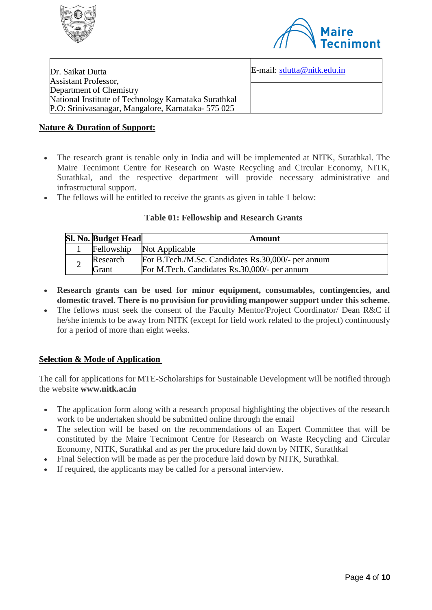



E-mail: sdutta@nitk.edu.in

Dr. Saikat Dutta Assistant Professor, Department of Chemistry National Institute of Technology Karnataka Surathkal P.O: Srinivasanagar, Mangalore, Karnataka- 575 025

## **Nature & Duration of Support:**

- The research grant is tenable only in India and will be implemented at NITK, Surathkal. The Maire Tecnimont Centre for Research on Waste Recycling and Circular Economy, NITK, Surathkal, and the respective department will provide necessary administrative and infrastructural support.
- The fellows will be entitled to receive the grants as given in table 1 below:

### **Table 01: Fellowship and Research Grants**

|  | <b>Sl. No. Budget Head</b> | Amount                                             |
|--|----------------------------|----------------------------------------------------|
|  | Fellowship                 | Not Applicable                                     |
|  | Research                   | For B.Tech./M.Sc. Candidates Rs.30,000/- per annum |
|  | Grant                      | For M.Tech. Candidates Rs.30,000/- per annum       |

- **Research grants can be used for minor equipment, consumables, contingencies, and domestic travel. There is no provision for providing manpower support under this scheme.**
- The fellows must seek the consent of the Faculty Mentor/Project Coordinator/ Dean R&C if he/she intends to be away from NITK (except for field work related to the project) continuously for a period of more than eight weeks.

## **Selection & Mode of Application**

The call for applications for MTE-Scholarships for Sustainable Development will be notified through the website **www.nitk.ac.in**

- The application form along with a research proposal highlighting the objectives of the research work to be undertaken should be submitted online through the email
- The selection will be based on the recommendations of an Expert Committee that will be constituted by the Maire Tecnimont Centre for Research on Waste Recycling and Circular Economy, NITK, Surathkal and as per the procedure laid down by NITK, Surathkal
- Final Selection will be made as per the procedure laid down by NITK, Surathkal.
- If required, the applicants may be called for a personal interview.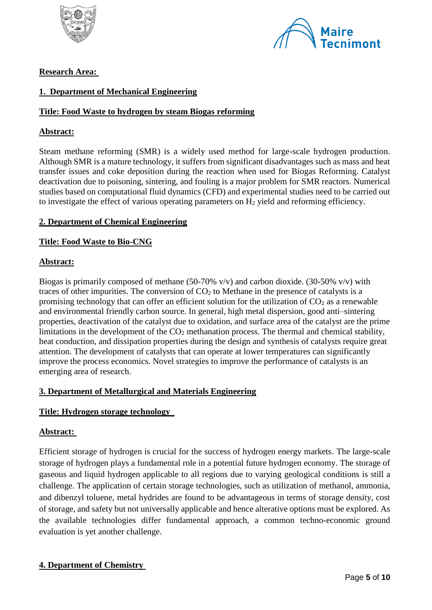



### **Research Area:**

## **1. Department of Mechanical Engineering**

#### **Title: Food Waste to hydrogen by steam Biogas reforming**

#### **Abstract:**

Steam methane reforming (SMR) is a widely used method for large-scale hydrogen production. Although SMR is a mature technology, it suffers from significant disadvantages such as mass and heat transfer issues and coke deposition during the reaction when used for Biogas Reforming. Catalyst deactivation due to poisoning, sintering, and fouling is a major problem for SMR reactors. Numerical studies based on computational fluid dynamics (CFD) and experimental studies need to be carried out to investigate the effect of various operating parameters on  $H_2$  yield and reforming efficiency.

#### **2. Department of Chemical Engineering**

### **Title: Food Waste to Bio-CNG**

### **Abstract:**

Biogas is primarily composed of methane (50-70% v/v) and carbon dioxide. (30-50% v/v) with traces of other impurities. The conversion of  $CO<sub>2</sub>$  to Methane in the presence of catalysts is a promising technology that can offer an efficient solution for the utilization of  $CO<sub>2</sub>$  as a renewable and environmental friendly carbon source. In general, high metal dispersion, good anti–sintering properties, deactivation of the catalyst due to oxidation, and surface area of the catalyst are the prime limitations in the development of the  $CO<sub>2</sub>$  methanation process. The thermal and chemical stability, heat conduction, and dissipation properties during the design and synthesis of catalysts require great attention. The development of catalysts that can operate at lower temperatures can significantly improve the process economics. Novel strategies to improve the performance of catalysts is an emerging area of research.

## **3. Department of Metallurgical and Materials Engineering**

#### **Title: Hydrogen storage technology**

#### **Abstract:**

Efficient storage of hydrogen is crucial for the success of hydrogen energy markets. The large-scale storage of hydrogen plays a fundamental role in a potential future hydrogen economy. The storage of gaseous and liquid hydrogen applicable to all regions due to varying geological conditions is still a challenge. The application of certain storage technologies, such as utilization of methanol, ammonia, and dibenzyl toluene, metal hydrides are found to be advantageous in terms of storage density, cost of storage, and safety but not universally applicable and hence alterative options must be explored. As the available technologies differ fundamental approach, a common techno-economic ground evaluation is yet another challenge.

## **4. Department of Chemistry**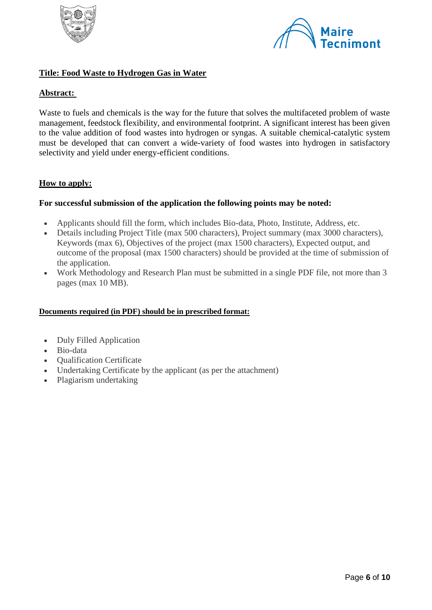



## **Title: Food Waste to Hydrogen Gas in Water**

## **Abstract:**

Waste to fuels and chemicals is the way for the future that solves the multifaceted problem of waste management, feedstock flexibility, and environmental footprint. A significant interest has been given to the value addition of food wastes into hydrogen or syngas. A suitable chemical-catalytic system must be developed that can convert a wide-variety of food wastes into hydrogen in satisfactory selectivity and yield under energy-efficient conditions.

### **How to apply:**

### **For successful submission of the application the following points may be noted:**

- Applicants should fill the form, which includes Bio-data, Photo, Institute, Address, etc.
- Details including Project Title (max 500 characters), Project summary (max 3000 characters), Keywords (max 6), Objectives of the project (max 1500 characters), Expected output, and outcome of the proposal (max 1500 characters) should be provided at the time of submission of the application.
- Work Methodology and Research Plan must be submitted in a single PDF file, not more than 3 pages (max 10 MB).

#### **Documents required (in PDF) should be in prescribed format:**

- Duly Filled Application
- Bio-data
- Oualification Certificate
- Undertaking Certificate by the applicant (as per the attachment)
- Plagiarism undertaking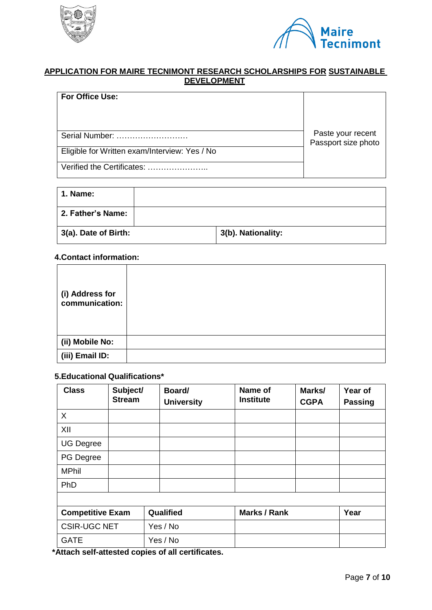



## **APPLICATION FOR MAIRE TECNIMONT RESEARCH SCHOLARSHIPS FOR SUSTAINABLE DEVELOPMENT**

| <b>For Office Use:</b>                        |                                          |
|-----------------------------------------------|------------------------------------------|
| Serial Number:                                | Paste your recent<br>Passport size photo |
| Eligible for Written exam/Interview: Yes / No |                                          |
| Verified the Certificates:                    |                                          |

| 1. Name:             |                    |
|----------------------|--------------------|
| 2. Father's Name:    |                    |
| 3(a). Date of Birth: | 3(b). Nationality: |

### **4.Contact information:**

| (i) Address for<br>communication: |  |
|-----------------------------------|--|
| (ii) Mobile No:                   |  |
| (iii) Email ID:                   |  |

## **5.Educational Qualifications\***

| <b>Class</b>            | Subject/<br><b>Stream</b> | Board/<br><b>University</b> | Name of<br><b>Institute</b> | Marks/<br><b>CGPA</b> | Year of<br><b>Passing</b> |
|-------------------------|---------------------------|-----------------------------|-----------------------------|-----------------------|---------------------------|
| X                       |                           |                             |                             |                       |                           |
| XII                     |                           |                             |                             |                       |                           |
| <b>UG Degree</b>        |                           |                             |                             |                       |                           |
| PG Degree               |                           |                             |                             |                       |                           |
| <b>MPhil</b>            |                           |                             |                             |                       |                           |
| <b>PhD</b>              |                           |                             |                             |                       |                           |
|                         |                           |                             |                             |                       |                           |
| <b>Competitive Exam</b> |                           | Qualified                   | <b>Marks / Rank</b>         |                       | Year                      |
| <b>CSIR-UGC NET</b>     |                           | Yes / No                    |                             |                       |                           |
| <b>GATE</b>             |                           | Yes / No                    |                             |                       |                           |

**\*Attach self-attested copies of all certificates.**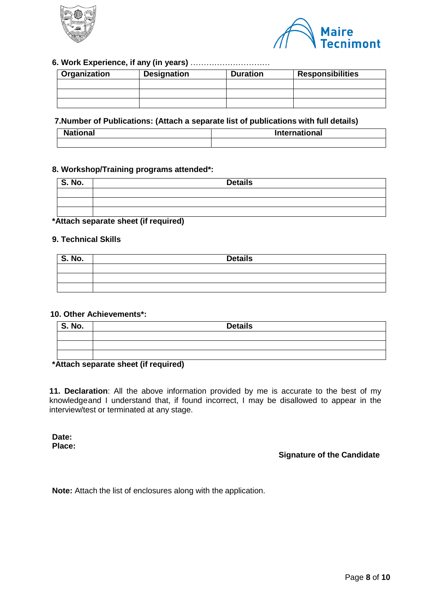



#### **6. Work Experience, if any (in years)** …………………………

| Organization | <b>Designation</b> | <b>Duration</b> | <b>Responsibilities</b> |
|--------------|--------------------|-----------------|-------------------------|
|              |                    |                 |                         |
|              |                    |                 |                         |
|              |                    |                 |                         |

#### **7.Number of Publications: (Attach a separate list of publications with full details)**

| <b>National</b><br>______ | <b>International</b> |
|---------------------------|----------------------|
|                           |                      |

#### **8. Workshop/Training programs attended\*:**

| <b>S. No.</b> | <b>Details</b> |  |  |  |  |  |  |
|---------------|----------------|--|--|--|--|--|--|
|               |                |  |  |  |  |  |  |
|               |                |  |  |  |  |  |  |
|               |                |  |  |  |  |  |  |

## **\*Attach separate sheet (if required)**

#### **9. Technical Skills**

| S. No. | <b>Details</b> |  |  |  |  |  |  |
|--------|----------------|--|--|--|--|--|--|
|        |                |  |  |  |  |  |  |
|        |                |  |  |  |  |  |  |
|        |                |  |  |  |  |  |  |

#### **10. Other Achievements\*:**

| $\overline{\mathsf{S}}$ . No. | <b>Details</b> |  |  |  |  |  |
|-------------------------------|----------------|--|--|--|--|--|
|                               |                |  |  |  |  |  |
|                               |                |  |  |  |  |  |
|                               |                |  |  |  |  |  |

#### **\*Attach separate sheet (if required)**

**11. Declaration**: All the above information provided by me is accurate to the best of my knowledgeand I understand that, if found incorrect, I may be disallowed to appear in the interview/test or terminated at any stage.

**Date: Place:**

#### **Signature of the Candidate**

**Note:** Attach the list of enclosures along with the application.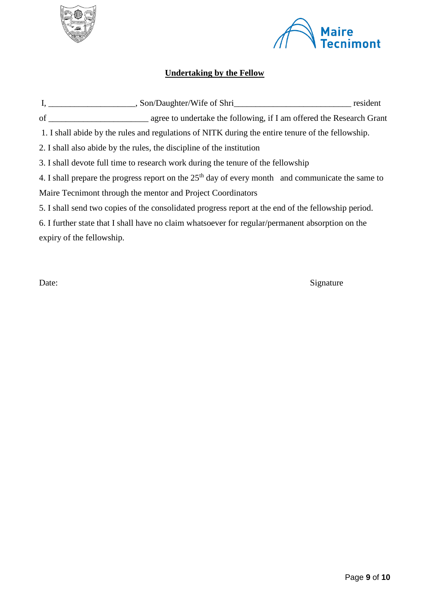



## **Undertaking by the Fellow**

|                                                                                                               | _ resident |  |  |  |
|---------------------------------------------------------------------------------------------------------------|------------|--|--|--|
|                                                                                                               |            |  |  |  |
| 1. I shall abide by the rules and regulations of NITK during the entire tenure of the fellowship.             |            |  |  |  |
| 2. I shall also abide by the rules, the discipline of the institution                                         |            |  |  |  |
| 3. I shall devote full time to research work during the tenure of the fellowship                              |            |  |  |  |
| 4. I shall prepare the progress report on the $25th$ day of every month and communicate the same to           |            |  |  |  |
| Maire Tecnimont through the mentor and Project Coordinators                                                   |            |  |  |  |
| 5. I shall send two copies of the consolidated progress report at the end of the fellowship period.           |            |  |  |  |
| C. I finite an otota that I also U have no algine whateas you for no welcology and an entirely an integrative |            |  |  |  |

6. I further state that I shall have no claim whatsoever for regular/permanent absorption on the expiry of the fellowship.

Date: Signature